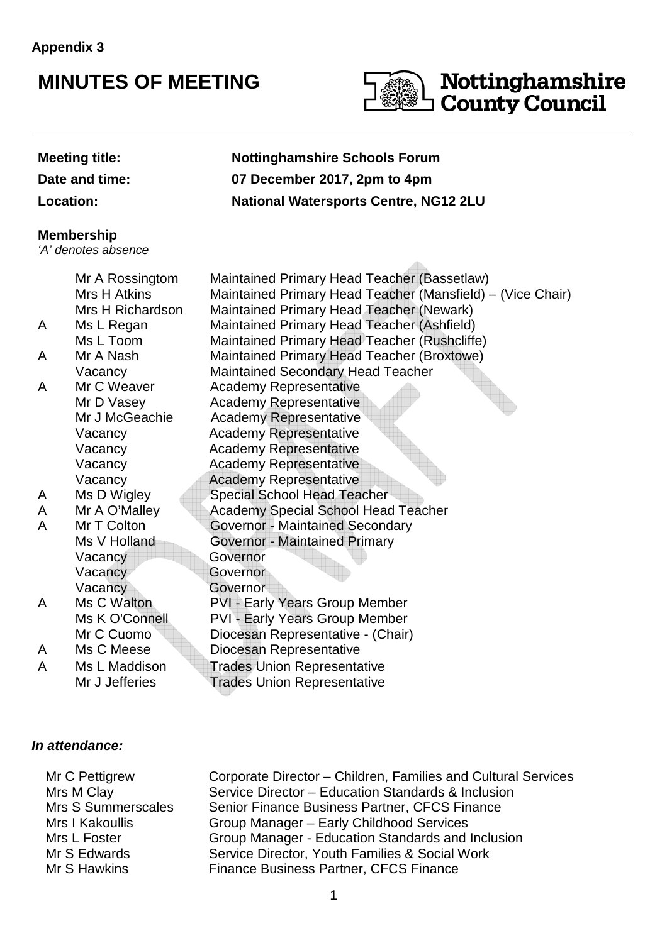## **MINUTES OF MEETING**



 $\triangle$ 

# **Nottinghamshire<br>County Council**

#### **Meeting title: Nottinghamshire Schools Forum**

**Date and time: 07 December 2017, 2pm to 4pm**

**Location: National Watersports Centre, NG12 2LU**

#### **Membership**

'A' denotes absence

|   | Mr A Rossingtom<br>Mrs H Atkins | Maintained Primary Head Teacher (Bassetlaw)                                                            |  |  |  |
|---|---------------------------------|--------------------------------------------------------------------------------------------------------|--|--|--|
|   | Mrs H Richardson                | Maintained Primary Head Teacher (Mansfield) – (Vice Chair)<br>Maintained Primary Head Teacher (Newark) |  |  |  |
|   |                                 | Maintained Primary Head Teacher (Ashfield)                                                             |  |  |  |
| A | Ms L Regan<br>Ms L Toom         | Maintained Primary Head Teacher (Rushcliffe)                                                           |  |  |  |
|   | Mr A Nash                       | Maintained Primary Head Teacher (Broxtowe)                                                             |  |  |  |
| A |                                 |                                                                                                        |  |  |  |
|   | Vacancy<br>Mr C Weaver          | <b>Maintained Secondary Head Teacher</b>                                                               |  |  |  |
| A |                                 | <b>Academy Representative</b>                                                                          |  |  |  |
|   | Mr D Vasey                      | <b>Academy Representative</b>                                                                          |  |  |  |
|   | Mr J McGeachie                  | <b>Academy Representative</b>                                                                          |  |  |  |
|   | Vacancy                         | <b>Academy Representative</b>                                                                          |  |  |  |
|   | Vacancy                         | <b>Academy Representative</b>                                                                          |  |  |  |
|   | Vacancy                         | <b>Academy Representative</b>                                                                          |  |  |  |
|   | Vacancy                         | <b>Academy Representative</b>                                                                          |  |  |  |
| A | Ms D Wigley                     | <b>Special School Head Teacher</b>                                                                     |  |  |  |
| A | Mr A O'Malley                   | <b>Academy Special School Head Teacher</b>                                                             |  |  |  |
| A | Mr T Colton                     | <b>Governor - Maintained Secondary</b>                                                                 |  |  |  |
|   | Ms V Holland                    | <b>Governor - Maintained Primary</b>                                                                   |  |  |  |
|   | Vacancy                         | Governor                                                                                               |  |  |  |
|   | Vacancy                         | Governor                                                                                               |  |  |  |
|   | Vacancy                         | Governor                                                                                               |  |  |  |
| A | Ms C Walton                     | <b>PVI - Early Years Group Member</b>                                                                  |  |  |  |
|   | Ms K O'Connell                  | <b>PVI - Early Years Group Member</b>                                                                  |  |  |  |
|   | Mr C Cuomo                      | Diocesan Representative - (Chair)                                                                      |  |  |  |
| A | Ms C Meese                      | Diocesan Representative                                                                                |  |  |  |
| A | Ms L Maddison                   | <b>Trades Union Representative</b>                                                                     |  |  |  |
|   | Mr J Jefferies                  | <b>Trades Union Representative</b>                                                                     |  |  |  |
|   |                                 |                                                                                                        |  |  |  |

#### **In attendance:**

Mr C Pettigrew Mrs M Clay Corporate Director – Children, Families and Cultural Services Service Director – Education Standards & Inclusion Mrs S Summerscales Senior Finance Business Partner, CFCS Finance Mrs I Kakoullis Mrs L Foster Group Manager – Early Childhood Services Group Manager - Education Standards and Inclusion Mr S Edwards Mr S Hawkins Service Director, Youth Families & Social Work Finance Business Partner, CFCS Finance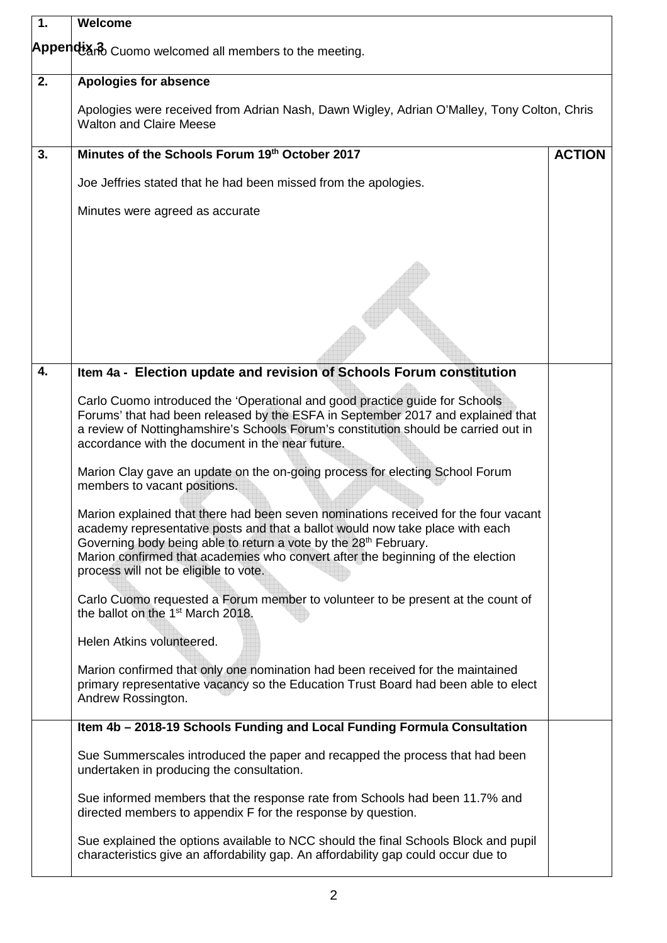| $\overline{1}$ . | Welcome                                                                                                                                                                                                                                                                                                                                                                          |  |  |  |
|------------------|----------------------------------------------------------------------------------------------------------------------------------------------------------------------------------------------------------------------------------------------------------------------------------------------------------------------------------------------------------------------------------|--|--|--|
|                  | Appendixno Cuomo welcomed all members to the meeting.                                                                                                                                                                                                                                                                                                                            |  |  |  |
| 2.               | <b>Apologies for absence</b>                                                                                                                                                                                                                                                                                                                                                     |  |  |  |
|                  | Apologies were received from Adrian Nash, Dawn Wigley, Adrian O'Malley, Tony Colton, Chris<br><b>Walton and Claire Meese</b>                                                                                                                                                                                                                                                     |  |  |  |
| 3.               | Minutes of the Schools Forum 19th October 2017<br><b>ACTION</b>                                                                                                                                                                                                                                                                                                                  |  |  |  |
|                  | Joe Jeffries stated that he had been missed from the apologies.                                                                                                                                                                                                                                                                                                                  |  |  |  |
|                  | Minutes were agreed as accurate                                                                                                                                                                                                                                                                                                                                                  |  |  |  |
|                  |                                                                                                                                                                                                                                                                                                                                                                                  |  |  |  |
|                  |                                                                                                                                                                                                                                                                                                                                                                                  |  |  |  |
| 4.               | Item 4a - Election update and revision of Schools Forum constitution                                                                                                                                                                                                                                                                                                             |  |  |  |
|                  | Carlo Cuomo introduced the 'Operational and good practice guide for Schools<br>Forums' that had been released by the ESFA in September 2017 and explained that<br>a review of Nottinghamshire's Schools Forum's constitution should be carried out in<br>accordance with the document in the near future.                                                                        |  |  |  |
|                  | Marion Clay gave an update on the on-going process for electing School Forum<br>members to vacant positions.                                                                                                                                                                                                                                                                     |  |  |  |
|                  | Marion explained that there had been seven nominations received for the four vacant<br>academy representative posts and that a ballot would now take place with each<br>Governing body being able to return a vote by the 28 <sup>th</sup> February.<br>Marion confirmed that academies who convert after the beginning of the election<br>process will not be eligible to vote. |  |  |  |
|                  | Carlo Cuomo requested a Forum member to volunteer to be present at the count of<br>the ballot on the 1 <sup>st</sup> March 2018.                                                                                                                                                                                                                                                 |  |  |  |
|                  | Helen Atkins volunteered.                                                                                                                                                                                                                                                                                                                                                        |  |  |  |
|                  | Marion confirmed that only one nomination had been received for the maintained<br>primary representative vacancy so the Education Trust Board had been able to elect<br>Andrew Rossington.                                                                                                                                                                                       |  |  |  |
|                  | Item 4b - 2018-19 Schools Funding and Local Funding Formula Consultation                                                                                                                                                                                                                                                                                                         |  |  |  |
|                  | Sue Summerscales introduced the paper and recapped the process that had been<br>undertaken in producing the consultation.                                                                                                                                                                                                                                                        |  |  |  |
|                  | Sue informed members that the response rate from Schools had been 11.7% and<br>directed members to appendix F for the response by question.                                                                                                                                                                                                                                      |  |  |  |
|                  | Sue explained the options available to NCC should the final Schools Block and pupil<br>characteristics give an affordability gap. An affordability gap could occur due to                                                                                                                                                                                                        |  |  |  |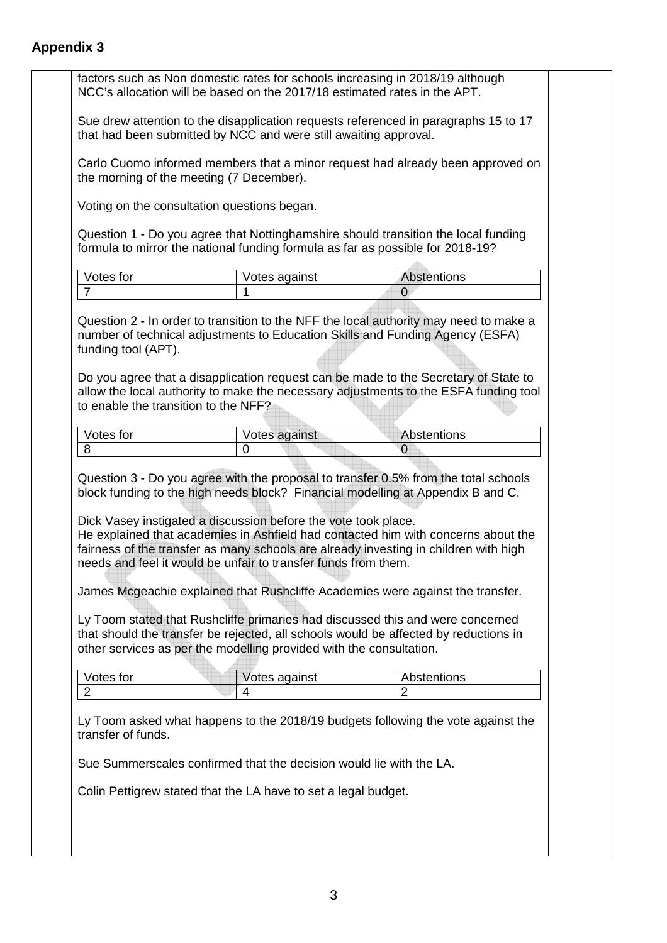| that had been submitted by NCC and were still awaiting approval.<br>Carlo Cuomo informed members that a minor request had already been approved on<br>the morning of the meeting (7 December). |                                                                                                                                                                                                                                                                                                            |                                                                                                                                                                                                                                                                                                                                                                    |  |  |                                             |
|------------------------------------------------------------------------------------------------------------------------------------------------------------------------------------------------|------------------------------------------------------------------------------------------------------------------------------------------------------------------------------------------------------------------------------------------------------------------------------------------------------------|--------------------------------------------------------------------------------------------------------------------------------------------------------------------------------------------------------------------------------------------------------------------------------------------------------------------------------------------------------------------|--|--|---------------------------------------------|
|                                                                                                                                                                                                |                                                                                                                                                                                                                                                                                                            |                                                                                                                                                                                                                                                                                                                                                                    |  |  | Voting on the consultation questions began. |
| Question 1 - Do you agree that Nottinghamshire should transition the local funding<br>formula to mirror the national funding formula as far as possible for 2018-19?                           |                                                                                                                                                                                                                                                                                                            |                                                                                                                                                                                                                                                                                                                                                                    |  |  |                                             |
| Votes for                                                                                                                                                                                      | Votes against                                                                                                                                                                                                                                                                                              | Abstentions                                                                                                                                                                                                                                                                                                                                                        |  |  |                                             |
| $\overline{7}$                                                                                                                                                                                 | 1                                                                                                                                                                                                                                                                                                          | 0                                                                                                                                                                                                                                                                                                                                                                  |  |  |                                             |
|                                                                                                                                                                                                |                                                                                                                                                                                                                                                                                                            |                                                                                                                                                                                                                                                                                                                                                                    |  |  |                                             |
|                                                                                                                                                                                                |                                                                                                                                                                                                                                                                                                            | allow the local authority to make the necessary adjustments to the ESFA funding tool                                                                                                                                                                                                                                                                               |  |  |                                             |
| to enable the transition to the NFF?                                                                                                                                                           |                                                                                                                                                                                                                                                                                                            |                                                                                                                                                                                                                                                                                                                                                                    |  |  |                                             |
|                                                                                                                                                                                                |                                                                                                                                                                                                                                                                                                            |                                                                                                                                                                                                                                                                                                                                                                    |  |  |                                             |
| Votes for                                                                                                                                                                                      | Votes against                                                                                                                                                                                                                                                                                              | Abstentions                                                                                                                                                                                                                                                                                                                                                        |  |  |                                             |
| 8                                                                                                                                                                                              | 0<br>block funding to the high needs block? Financial modelling at Appendix B and C.                                                                                                                                                                                                                       | $\overline{0}$<br>Question 3 - Do you agree with the proposal to transfer 0.5% from the total schools                                                                                                                                                                                                                                                              |  |  |                                             |
| Votes for                                                                                                                                                                                      | Dick Vasey instigated a discussion before the vote took place.<br>needs and feel it would be unfair to transfer funds from them.<br>Ly Toom stated that Rushcliffe primaries had discussed this and were concerned<br>other services as per the modelling provided with the consultation.<br>Votes against | He explained that academies in Ashfield had contacted him with concerns about the<br>fairness of the transfer as many schools are already investing in children with high<br>James Mcgeachie explained that Rushcliffe Academies were against the transfer.<br>that should the transfer be rejected, all schools would be affected by reductions in<br>Abstentions |  |  |                                             |
| $\overline{2}$                                                                                                                                                                                 | 4                                                                                                                                                                                                                                                                                                          | $\overline{2}$                                                                                                                                                                                                                                                                                                                                                     |  |  |                                             |
| transfer of funds.                                                                                                                                                                             | Sue Summerscales confirmed that the decision would lie with the LA.                                                                                                                                                                                                                                        | Ly Toom asked what happens to the 2018/19 budgets following the vote against the                                                                                                                                                                                                                                                                                   |  |  |                                             |
|                                                                                                                                                                                                |                                                                                                                                                                                                                                                                                                            |                                                                                                                                                                                                                                                                                                                                                                    |  |  |                                             |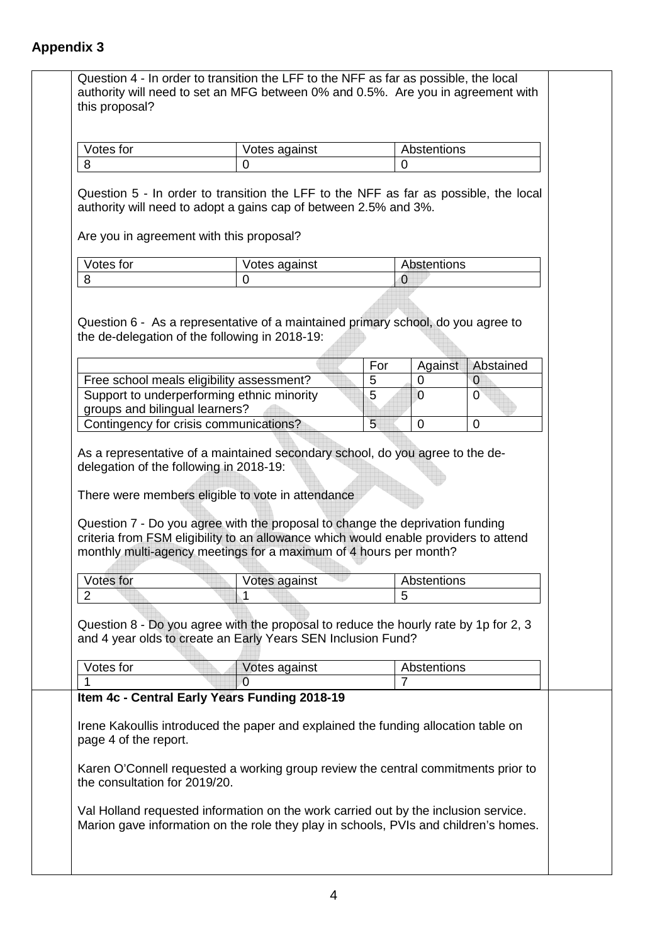| Votes for                      | Votes against                                                                                                                                                                                                                              |                            | Abstentions                               |                                               |
|--------------------------------|--------------------------------------------------------------------------------------------------------------------------------------------------------------------------------------------------------------------------------------------|----------------------------|-------------------------------------------|-----------------------------------------------|
| 8                              | $\overline{0}$                                                                                                                                                                                                                             |                            | $\Omega$                                  |                                               |
|                                | Question 5 - In order to transition the LFF to the NFF as far as possible, the local<br>authority will need to adopt a gains cap of between 2.5% and 3%.<br>Are you in agreement with this proposal?                                       |                            |                                           |                                               |
| Votes for                      | Votes against                                                                                                                                                                                                                              |                            | Abstentions                               |                                               |
| 8                              | 0                                                                                                                                                                                                                                          |                            | $\overline{0}$                            |                                               |
|                                | Free school meals eligibility assessment?<br>Support to underperforming ethnic minority                                                                                                                                                    | For<br>5<br>$\overline{5}$ | Against<br>$\overline{0}$<br>$\mathbf{0}$ | Abstained<br>$\overline{0}$<br>$\overline{0}$ |
|                                |                                                                                                                                                                                                                                            |                            |                                           |                                               |
|                                |                                                                                                                                                                                                                                            |                            |                                           |                                               |
| groups and bilingual learners? |                                                                                                                                                                                                                                            |                            |                                           |                                               |
|                                | Contingency for crisis communications?<br>As a representative of a maintained secondary school, do you agree to the de-<br>delegation of the following in 2018-19:<br>There were members eligible to vote in attendance                    | 5                          | $\overline{0}$                            | $\mathbf 0$                                   |
|                                | Question 7 - Do you agree with the proposal to change the deprivation funding<br>criteria from FSM eligibility to an allowance which would enable providers to attend<br>monthly multi-agency meetings for a maximum of 4 hours per month? |                            |                                           |                                               |
|                                |                                                                                                                                                                                                                                            |                            |                                           |                                               |
| Votes for<br>$\overline{2}$    | Votes against                                                                                                                                                                                                                              |                            | Abstentions<br>5                          |                                               |
| Votes for                      | Question 8 - Do you agree with the proposal to reduce the hourly rate by 1p for 2, 3<br>and 4 year olds to create an Early Years SEN Inclusion Fund?<br>Votes against                                                                      |                            | Abstentions                               |                                               |
| 1                              | $\overline{0}$                                                                                                                                                                                                                             |                            | 7                                         |                                               |
| page 4 of the report.          | Item 4c - Central Early Years Funding 2018-19<br>Irene Kakoullis introduced the paper and explained the funding allocation table on<br>Karen O'Connell requested a working group review the central commitments prior to                   |                            |                                           |                                               |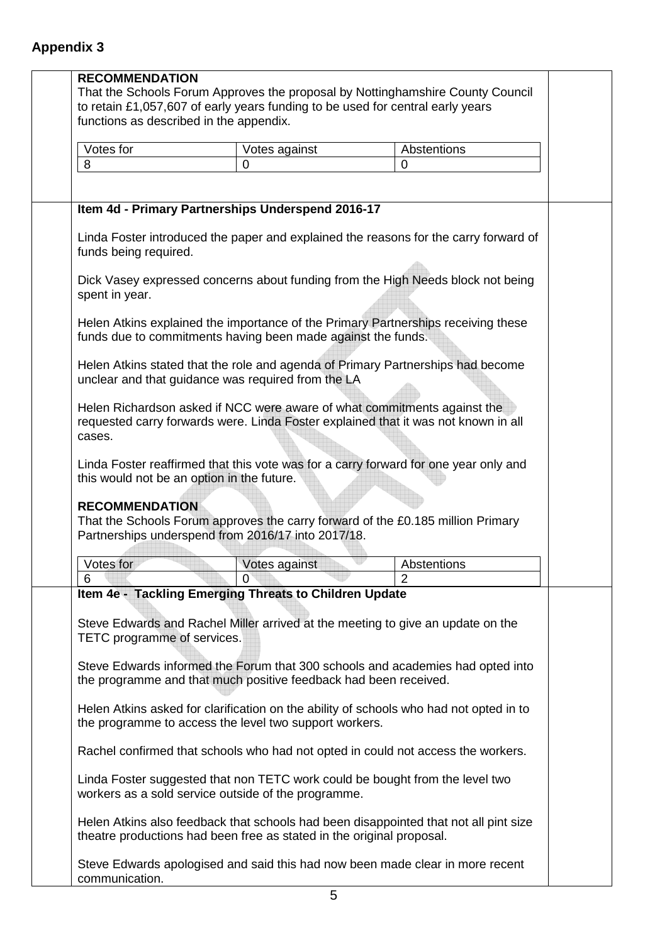| <b>RECOMMENDATION</b><br>functions as described in the appendix. | to retain £1,057,607 of early years funding to be used for central early years                                                      | That the Schools Forum Approves the proposal by Nottinghamshire County Council         |
|------------------------------------------------------------------|-------------------------------------------------------------------------------------------------------------------------------------|----------------------------------------------------------------------------------------|
| Votes for                                                        | Votes against                                                                                                                       | Abstentions                                                                            |
| 8                                                                | 0                                                                                                                                   | $\Omega$                                                                               |
|                                                                  |                                                                                                                                     |                                                                                        |
|                                                                  | Item 4d - Primary Partnerships Underspend 2016-17                                                                                   |                                                                                        |
| funds being required.                                            |                                                                                                                                     | Linda Foster introduced the paper and explained the reasons for the carry forward of   |
| spent in year.                                                   |                                                                                                                                     | Dick Vasey expressed concerns about funding from the High Needs block not being        |
|                                                                  | funds due to commitments having been made against the funds.                                                                        | Helen Atkins explained the importance of the Primary Partnerships receiving these      |
|                                                                  | unclear and that guidance was required from the LA                                                                                  | Helen Atkins stated that the role and agenda of Primary Partnerships had become        |
| cases.                                                           | Helen Richardson asked if NCC were aware of what commitments against the                                                            | requested carry forwards were. Linda Foster explained that it was not known in all     |
| this would not be an option in the future.                       |                                                                                                                                     | Linda Foster reaffirmed that this vote was for a carry forward for one year only and   |
| <b>RECOMMENDATION</b>                                            | Partnerships underspend from 2016/17 into 2017/18.                                                                                  | That the Schools Forum approves the carry forward of the £0.185 million Primary        |
| Votes for                                                        | Votes against                                                                                                                       | Abstentions                                                                            |
| 6                                                                | 0                                                                                                                                   |                                                                                        |
|                                                                  | Item 4e - Tackling Emerging Threats to Children Update                                                                              | Steve Edwards and Rachel Miller arrived at the meeting to give an update on the        |
| TETC programme of services.                                      |                                                                                                                                     |                                                                                        |
|                                                                  | the programme and that much positive feedback had been received.                                                                    | Steve Edwards informed the Forum that 300 schools and academies had opted into         |
|                                                                  | the programme to access the level two support workers.                                                                              | Helen Atkins asked for clarification on the ability of schools who had not opted in to |
|                                                                  |                                                                                                                                     | Rachel confirmed that schools who had not opted in could not access the workers.       |
|                                                                  | Linda Foster suggested that non TETC work could be bought from the level two<br>workers as a sold service outside of the programme. |                                                                                        |
|                                                                  | theatre productions had been free as stated in the original proposal.                                                               | Helen Atkins also feedback that schools had been disappointed that not all pint size   |
| communication.                                                   |                                                                                                                                     | Steve Edwards apologised and said this had now been made clear in more recent          |